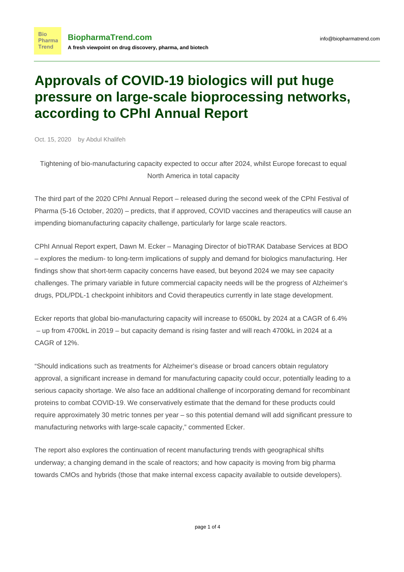## **Approvals of COVID-19 biologics will put huge pressure on large-scale bioprocessing networks, according to CPhI Annual Report**

Oct. 15, 2020 by Abdul Khalifeh

Tightening of bio-manufacturing capacity expected to occur after 2024, whilst Europe forecast to equal North America in total capacity

The third part of the 2020 CPhI Annual Report – released during the second week of the CPhI Festival of Pharma (5-16 October, 2020) – predicts, that if approved, COVID vaccines and therapeutics will cause an impending biomanufacturing capacity challenge, particularly for large scale reactors.

CPhI Annual Report expert, Dawn M. Ecker – Managing Director of bioTRAK Database Services at BDO – explores the medium- to long-term implications of supply and demand for biologics manufacturing. Her findings show that short-term capacity concerns have eased, but beyond 2024 we may see capacity challenges. The primary variable in future commercial capacity needs will be the progress of Alzheimer's drugs, PDL/PDL-1 checkpoint inhibitors and Covid therapeutics currently in late stage development.

Ecker reports that global bio-manufacturing capacity will increase to 6500kL by 2024 at a CAGR of 6.4% – up from 4700kL in 2019 – but capacity demand is rising faster and will reach 4700kL in 2024 at a CAGR of 12%.

"Should indications such as treatments for Alzheimer's disease or broad cancers obtain regulatory approval, a significant increase in demand for manufacturing capacity could occur, potentially leading to a serious capacity shortage. We also face an additional challenge of incorporating demand for recombinant proteins to combat COVID-19. We conservatively estimate that the demand for these products could require approximately 30 metric tonnes per year – so this potential demand will add significant pressure to manufacturing networks with large-scale capacity," commented Ecker.

The report also explores the continuation of recent manufacturing trends with geographical shifts underway; a changing demand in the scale of reactors; and how capacity is moving from big pharma towards CMOs and hybrids (those that make internal excess capacity available to outside developers).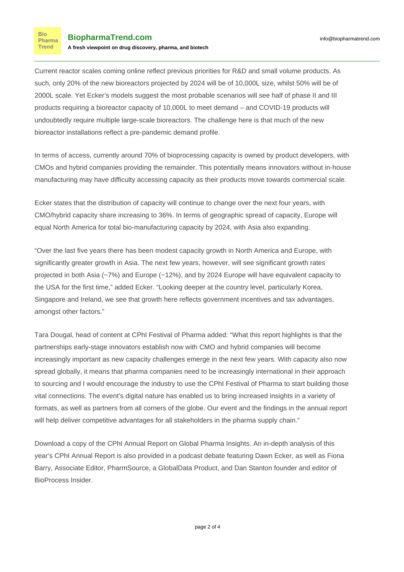**Bio** Pharma Trend

Current reactor scales coming online reflect previous priorities for R&D and small volume products. As such, only 20% of the new bioreactors projected by 2024 will be of 10,000L size, whilst 50% will be of 2000L scale. Yet Ecker's models suggest the most probable scenarios will see half of phase II and III products requiring a bioreactor capacity of 10,000L to meet demand – and COVID-19 products will undoubtedly require multiple large-scale bioreactors. The challenge here is that much of the new bioreactor installations reflect a pre-pandemic demand profile.

In terms of access, currently around 70% of bioprocessing capacity is owned by product developers, with CMOs and hybrid companies providing the remainder. This potentially means innovators without in-house manufacturing may have difficulty accessing capacity as their products move towards commercial scale.

Ecker states that the distribution of capacity will continue to change over the next four years, with CMO/hybrid capacity share increasing to 36%. In terms of geographic spread of capacity, Europe will equal North America for total bio-manufacturing capacity by 2024, with Asia also expanding.

"Over the last five years there has been modest capacity growth in North America and Europe, with significantly greater growth in Asia. The next few years, however, will see significant growth rates projected in both Asia (~7%) and Europe (~12%), and by 2024 Europe will have equivalent capacity to the USA for the first time," added Ecker. "Looking deeper at the country level, particularly Korea, Singapore and Ireland, we see that growth here reflects government incentives and tax advantages, amongst other factors."

Tara Dougal, head of content at CPhI Festival of Pharma added: "What this report highlights is that the partnerships early-stage innovators establish now with CMO and hybrid companies will become increasingly important as new capacity challenges emerge in the next few years. With capacity also now spread globally, it means that pharma companies need to be increasingly international in their approach to sourcing and I would encourage the industry to use the CPhI Festival of Pharma to start building those vital connections. The event's digital nature has enabled us to bring increased insights in a variety of formats, as well as partners from all corners of the globe. Our event and the findings in the annual report will help deliver competitive advantages for all stakeholders in the pharma supply chain."

Download a copy of the CPhI Annual Report on Global Pharma Insights. An in-depth analysis of this year's CPhI Annual Report is also provided in a podcast debate featuring Dawn Ecker, as well as Fiona Barry, Associate Editor, PharmSource, a GlobalData Product, and Dan Stanton founder and editor of BioProcess Insider.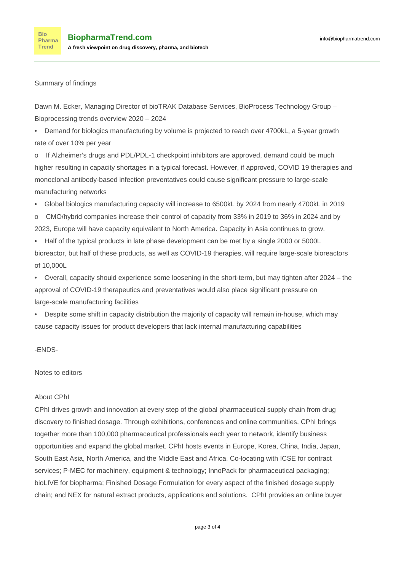Summary of findings

**Bio** 

Dawn M. Ecker, Managing Director of bioTRAK Database Services, BioProcess Technology Group – Bioprocessing trends overview 2020 – 2024

• Demand for biologics manufacturing by volume is projected to reach over 4700kL, a 5-year growth rate of over 10% per year

If Alzheimer's drugs and PDL/PDL-1 checkpoint inhibitors are approved, demand could be much higher resulting in capacity shortages in a typical forecast. However, if approved, COVID 19 therapies and monoclonal antibody-based infection preventatives could cause significant pressure to large-scale manufacturing networks

• Global biologics manufacturing capacity will increase to 6500kL by 2024 from nearly 4700kL in 2019

o CMO/hybrid companies increase their control of capacity from 33% in 2019 to 36% in 2024 and by 2023, Europe will have capacity equivalent to North America. Capacity in Asia continues to grow.

• Half of the typical products in late phase development can be met by a single 2000 or 5000L bioreactor, but half of these products, as well as COVID-19 therapies, will require large-scale bioreactors of 10,000L

• Overall, capacity should experience some loosening in the short-term, but may tighten after 2024 – the approval of COVID-19 therapeutics and preventatives would also place significant pressure on large-scale manufacturing facilities

• Despite some shift in capacity distribution the majority of capacity will remain in-house, which may cause capacity issues for product developers that lack internal manufacturing capabilities

-ENDS-

Notes to editors

## About CPhI

CPhI drives growth and innovation at every step of the global pharmaceutical supply chain from drug discovery to finished dosage. Through exhibitions, conferences and online communities, CPhI brings together more than 100,000 pharmaceutical professionals each year to network, identify business opportunities and expand the global market. CPhI hosts events in Europe, Korea, China, India, Japan, South East Asia, North America, and the Middle East and Africa. Co-locating with ICSE for contract services; P-MEC for machinery, equipment & technology; InnoPack for pharmaceutical packaging; bioLIVE for biopharma; Finished Dosage Formulation for every aspect of the finished dosage supply chain; and NEX for natural extract products, applications and solutions. CPhI provides an online buyer